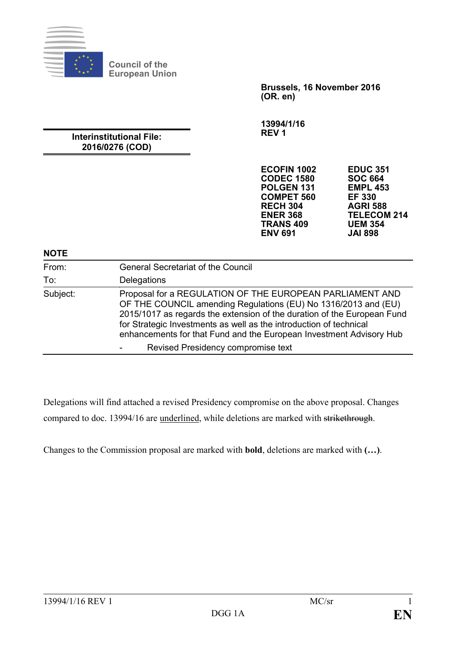

**Council of the European Union**

> **Brussels, 16 November 2016 (OR. en)**

**13994/1/16 REV 1**

## **Interinstitutional File: 2016/0276 (COD)**

| ECOFIN 1002           | <b>EDUC 351</b>    |
|-----------------------|--------------------|
| <b>CODEC 1580</b>     | <b>SOC 664</b>     |
| POLGEN <sub>131</sub> | <b>EMPL 453</b>    |
| <b>COMPET 560</b>     | <b>EF 330</b>      |
| <b>RECH 304</b>       | <b>AGRI 588</b>    |
| <b>ENER 368</b>       | <b>TELECOM 214</b> |
| <b>TRANS 409</b>      | <b>UEM 354</b>     |
| <b>ENV 691</b>        | <b>JAI 898</b>     |
|                       |                    |

#### **NOTE**

| From:<br>To: | <b>General Secretariat of the Council</b><br>Delegations                                                                                                                                                                                                                               |
|--------------|----------------------------------------------------------------------------------------------------------------------------------------------------------------------------------------------------------------------------------------------------------------------------------------|
| Subject:     | Proposal for a REGULATION OF THE EUROPEAN PARLIAMENT AND                                                                                                                                                                                                                               |
|              | OF THE COUNCIL amending Regulations (EU) No 1316/2013 and (EU)<br>2015/1017 as regards the extension of the duration of the European Fund<br>for Strategic Investments as well as the introduction of technical<br>enhancements for that Fund and the European Investment Advisory Hub |
|              | Revised Presidency compromise text                                                                                                                                                                                                                                                     |

Delegations will find attached a revised Presidency compromise on the above proposal. Changes compared to doc. 13994/16 are underlined, while deletions are marked with strikethrough.

Changes to the Commission proposal are marked with **bold**, deletions are marked with **(…)**.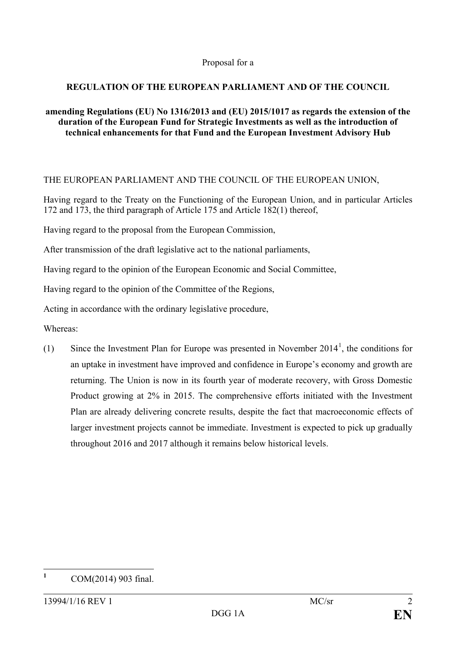### Proposal for a

## **REGULATION OF THE EUROPEAN PARLIAMENT AND OF THE COUNCIL**

### **amending Regulations (EU) No 1316/2013 and (EU) 2015/1017 as regards the extension of the duration of the European Fund for Strategic Investments as well as the introduction of technical enhancements for that Fund and the European Investment Advisory Hub**

## THE EUROPEAN PARLIAMENT AND THE COUNCIL OF THE EUROPEAN UNION,

Having regard to the Treaty on the Functioning of the European Union, and in particular Articles 172 and 173, the third paragraph of Article 175 and Article 182(1) thereof,

Having regard to the proposal from the European Commission,

After transmission of the draft legislative act to the national parliaments,

Having regard to the opinion of the European Economic and Social Committee,

Having regard to the opinion of the Committee of the Regions,

Acting in accordance with the ordinary legislative procedure,

Whereas:

([1](#page-1-0)) Since the Investment Plan for Europe was presented in November  $2014<sup>1</sup>$ , the conditions for an uptake in investment have improved and confidence in Europe's economy and growth are returning. The Union is now in its fourth year of moderate recovery, with Gross Domestic Product growing at 2% in 2015. The comprehensive efforts initiated with the Investment Plan are already delivering concrete results, despite the fact that macroeconomic effects of larger investment projects cannot be immediate. Investment is expected to pick up gradually throughout 2016 and 2017 although it remains below historical levels.

<span id="page-1-0"></span>**<sup>1</sup>** COM(2014) 903 final.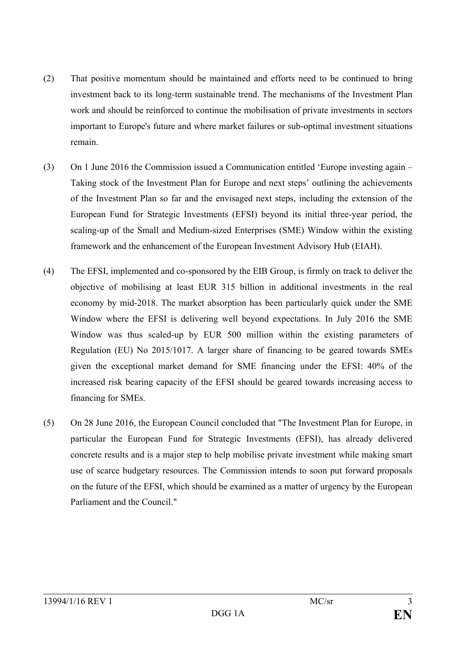- (2) That positive momentum should be maintained and efforts need to be continued to bring investment back to its long-term sustainable trend. The mechanisms of the Investment Plan work and should be reinforced to continue the mobilisation of private investments in sectors important to Europe's future and where market failures or sub-optimal investment situations remain.
- (3) On 1 June 2016 the Commission issued a Communication entitled 'Europe investing again Taking stock of the Investment Plan for Europe and next steps' outlining the achievements of the Investment Plan so far and the envisaged next steps, including the extension of the European Fund for Strategic Investments (EFSI) beyond its initial three-year period, the scaling-up of the Small and Medium-sized Enterprises (SME) Window within the existing framework and the enhancement of the European Investment Advisory Hub (EIAH).
- (4) The EFSI, implemented and co-sponsored by the EIB Group, is firmly on track to deliver the objective of mobilising at least EUR 315 billion in additional investments in the real economy by mid-2018. The market absorption has been particularly quick under the SME Window where the EFSI is delivering well beyond expectations. In July 2016 the SME Window was thus scaled-up by EUR 500 million within the existing parameters of Regulation (EU) No 2015/1017. A larger share of financing to be geared towards SMEs given the exceptional market demand for SME financing under the EFSI: 40% of the increased risk bearing capacity of the EFSI should be geared towards increasing access to financing for SMEs.
- (5) On 28 June 2016, the European Council concluded that "The Investment Plan for Europe, in particular the European Fund for Strategic Investments (EFSI), has already delivered concrete results and is a major step to help mobilise private investment while making smart use of scarce budgetary resources. The Commission intends to soon put forward proposals on the future of the EFSI, which should be examined as a matter of urgency by the European Parliament and the Council."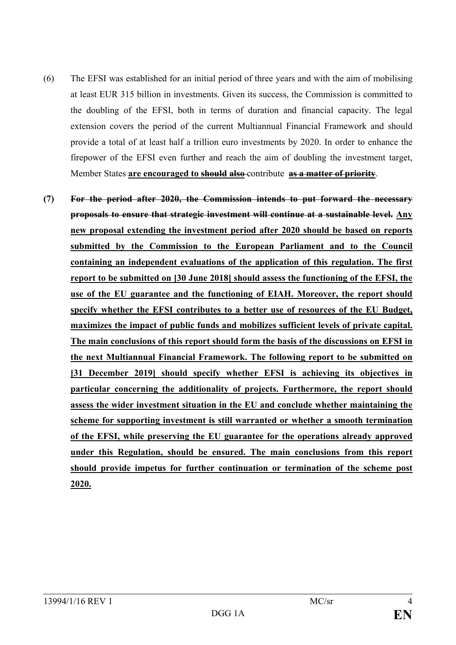- (6) The EFSI was established for an initial period of three years and with the aim of mobilising at least EUR 315 billion in investments. Given its success, the Commission is committed to the doubling of the EFSI, both in terms of duration and financial capacity. The legal extension covers the period of the current Multiannual Financial Framework and should provide a total of at least half a trillion euro investments by 2020. In order to enhance the firepower of the EFSI even further and reach the aim of doubling the investment target, Member States **are encouraged to should also** contribute **as a matter of priority**.
- **(7) For the period after 2020, the Commission intends to put forward the necessary proposals to ensure that strategic investment will continue at a sustainable level. Any new proposal extending the investment period after 2020 should be based on reports submitted by the Commission to the European Parliament and to the Council containing an independent evaluations of the application of this regulation. The first report to be submitted on [30 June 2018] should assess the functioning of the EFSI, the use of the EU guarantee and the functioning of EIAH. Moreover, the report should specify whether the EFSI contributes to a better use of resources of the EU Budget, maximizes the impact of public funds and mobilizes sufficient levels of private capital. The main conclusions of this report should form the basis of the discussions on EFSI in the next Multiannual Financial Framework. The following report to be submitted on [31 December 2019] should specify whether EFSI is achieving its objectives in particular concerning the additionality of projects. Furthermore, the report should assess the wider investment situation in the EU and conclude whether maintaining the scheme for supporting investment is still warranted or whether a smooth termination of the EFSI, while preserving the EU guarantee for the operations already approved under this Regulation, should be ensured. The main conclusions from this report should provide impetus for further continuation or termination of the scheme post 2020.**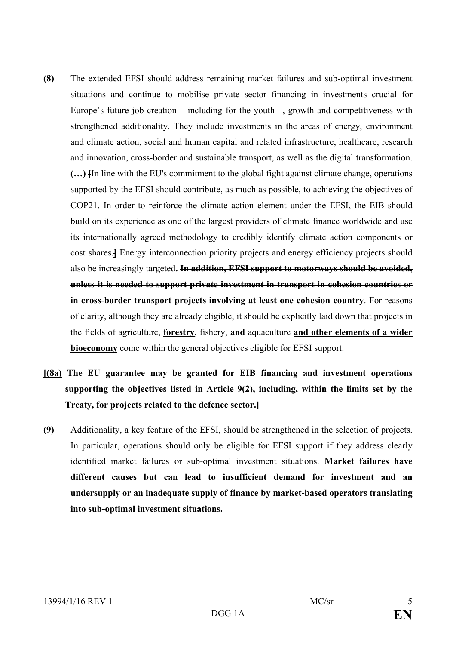- **(8)** The extended EFSI should address remaining market failures and sub-optimal investment situations and continue to mobilise private sector financing in investments crucial for Europe's future job creation – including for the youth –, growth and competitiveness with strengthened additionality. They include investments in the areas of energy, environment and climate action, social and human capital and related infrastructure, healthcare, research and innovation, cross-border and sustainable transport, as well as the digital transformation. **(…) [**In line with the EU's commitment to the global fight against climate change, operations supported by the EFSI should contribute, as much as possible, to achieving the objectives of COP21. In order to reinforce the climate action element under the EFSI, the EIB should build on its experience as one of the largest providers of climate finance worldwide and use its internationally agreed methodology to credibly identify climate action components or cost shares.**]** Energy interconnection priority projects and energy efficiency projects should also be increasingly targeted**. In addition, EFSI support to motorways should be avoided, unless it is needed to support private investment in transport in cohesion countries or in cross-border transport projects involving at least one cohesion country**. For reasons of clarity, although they are already eligible, it should be explicitly laid down that projects in the fields of agriculture, **forestry**, fishery, **and** aquaculture **and other elements of a wider bioeconomy** come within the general objectives eligible for EFSI support.
- **[(8a) The EU guarantee may be granted for EIB financing and investment operations supporting the objectives listed in Article 9(2), including, within the limits set by the Treaty, for projects related to the defence sector.]**
- **(9)** Additionality, a key feature of the EFSI, should be strengthened in the selection of projects. In particular, operations should only be eligible for EFSI support if they address clearly identified market failures or sub-optimal investment situations. **Market failures have different causes but can lead to insufficient demand for investment and an undersupply or an inadequate supply of finance by market-based operators translating into sub-optimal investment situations.**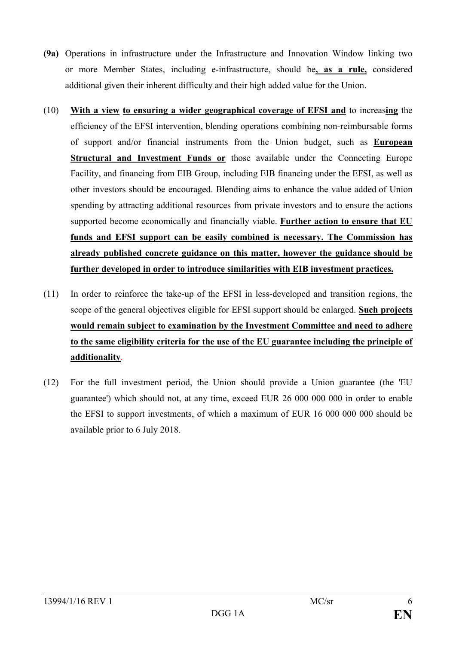- **(9a)** Operations in infrastructure under the Infrastructure and Innovation Window linking two or more Member States, including e-infrastructure, should be**, as a rule,** considered additional given their inherent difficulty and their high added value for the Union.
- (10) **With a view to ensuring a wider geographical coverage of EFSI and** to increas**ing** the efficiency of the EFSI intervention, blending operations combining non-reimbursable forms of support and/or financial instruments from the Union budget, such as **European Structural and Investment Funds or** those available under the Connecting Europe Facility, and financing from EIB Group, including EIB financing under the EFSI, as well as other investors should be encouraged. Blending aims to enhance the value added of Union spending by attracting additional resources from private investors and to ensure the actions supported become economically and financially viable. **Further action to ensure that EU funds and EFSI support can be easily combined is necessary. The Commission has already published concrete guidance on this matter, however the guidance should be further developed in order to introduce similarities with EIB investment practices.**
- (11) In order to reinforce the take-up of the EFSI in less-developed and transition regions, the scope of the general objectives eligible for EFSI support should be enlarged. **Such projects would remain subject to examination by the Investment Committee and need to adhere to the same eligibility criteria for the use of the EU guarantee including the principle of additionality**.
- (12) For the full investment period, the Union should provide a Union guarantee (the 'EU guarantee') which should not, at any time, exceed EUR 26 000 000 000 in order to enable the EFSI to support investments, of which a maximum of EUR 16 000 000 000 should be available prior to 6 July 2018.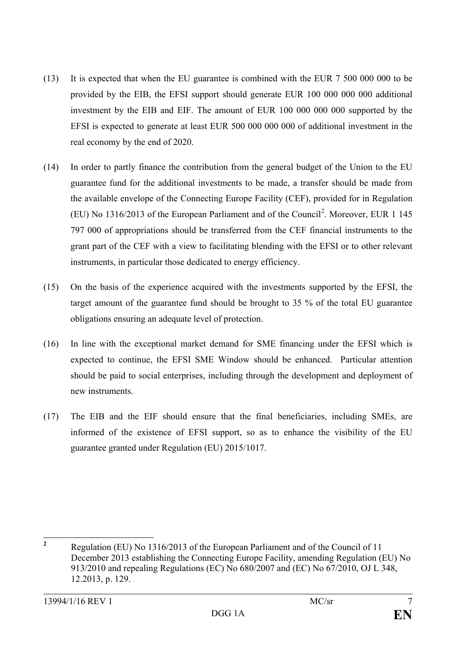- (13) It is expected that when the EU guarantee is combined with the EUR 7 500 000 000 to be provided by the EIB, the EFSI support should generate EUR 100 000 000 000 additional investment by the EIB and EIF. The amount of EUR 100 000 000 000 supported by the EFSI is expected to generate at least EUR 500 000 000 000 of additional investment in the real economy by the end of 2020.
- (14) In order to partly finance the contribution from the general budget of the Union to the EU guarantee fund for the additional investments to be made, a transfer should be made from the available envelope of the Connecting Europe Facility (CEF), provided for in Regulation (EU) No 1316/[2](#page-6-0)013 of the European Parliament and of the Council<sup>2</sup>. Moreover, EUR 1 145 797 000 of appropriations should be transferred from the CEF financial instruments to the grant part of the CEF with a view to facilitating blending with the EFSI or to other relevant instruments, in particular those dedicated to energy efficiency.
- (15) On the basis of the experience acquired with the investments supported by the EFSI, the target amount of the guarantee fund should be brought to 35 % of the total EU guarantee obligations ensuring an adequate level of protection.
- (16) In line with the exceptional market demand for SME financing under the EFSI which is expected to continue, the EFSI SME Window should be enhanced. Particular attention should be paid to social enterprises, including through the development and deployment of new instruments.
- (17) The EIB and the EIF should ensure that the final beneficiaries, including SMEs, are informed of the existence of EFSI support, so as to enhance the visibility of the EU guarantee granted under Regulation (EU) 2015/1017.

<span id="page-6-0"></span>**<sup>2</sup>** Regulation (EU) No 1316/2013 of the European Parliament and of the Council of 11 December 2013 establishing the Connecting Europe Facility, amending Regulation (EU) No 913/2010 and repealing Regulations (EC) No 680/2007 and (EC) No 67/2010, OJ L 348, 12.2013, p. 129.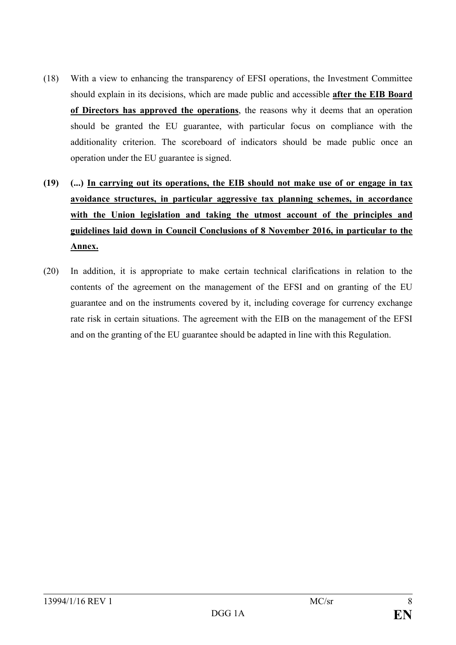- (18) With a view to enhancing the transparency of EFSI operations, the Investment Committee should explain in its decisions, which are made public and accessible **after the EIB Board of Directors has approved the operations**, the reasons why it deems that an operation should be granted the EU guarantee, with particular focus on compliance with the additionality criterion. The scoreboard of indicators should be made public once an operation under the EU guarantee is signed.
- **(19) (...) In carrying out its operations, the EIB should not make use of or engage in tax avoidance structures, in particular aggressive tax planning schemes, in accordance with the Union legislation and taking the utmost account of the principles and guidelines laid down in Council Conclusions of 8 November 2016, in particular to the Annex.**
- (20) In addition, it is appropriate to make certain technical clarifications in relation to the contents of the agreement on the management of the EFSI and on granting of the EU guarantee and on the instruments covered by it, including coverage for currency exchange rate risk in certain situations. The agreement with the EIB on the management of the EFSI and on the granting of the EU guarantee should be adapted in line with this Regulation.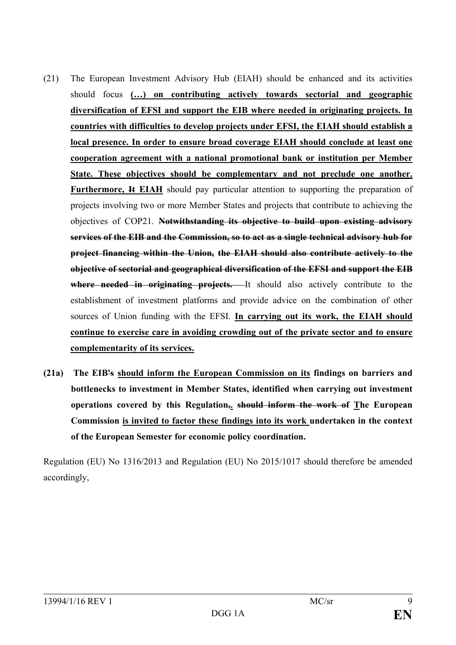- (21) The European Investment Advisory Hub (EIAH) should be enhanced and its activities should focus **(…) on contributing actively towards sectorial and geographic diversification of EFSI and support the EIB where needed in originating projects. In countries with difficulties to develop projects under EFSI, the EIAH should establish a local presence. In order to ensure broad coverage EIAH should conclude at least one cooperation agreement with a national promotional bank or institution per Member State. These objectives should be complementary and not preclude one another. Furthermore, It EIAH** should pay particular attention to supporting the preparation of projects involving two or more Member States and projects that contribute to achieving the objectives of COP21. **Notwithstanding its objective to build upon existing advisory services of the EIB and the Commission, so to act as a single technical advisory hub for project financing within the Union, the EIAH should also contribute actively to the objective of sectorial and geographical diversification of the EFSI and support the EIB where needed in originating projects.** It should also actively contribute to the establishment of investment platforms and provide advice on the combination of other sources of Union funding with the EFSI. **In carrying out its work, the EIAH should continue to exercise care in avoiding crowding out of the private sector and to ensure complementarity of its services.**
- **(21a) The EIB's should inform the European Commission on its findings on barriers and bottlenecks to investment in Member States, identified when carrying out investment operations covered by this Regulation,. should inform the work of The European Commission is invited to factor these findings into its work undertaken in the context of the European Semester for economic policy coordination.**

Regulation (EU) No 1316/2013 and Regulation (EU) No 2015/1017 should therefore be amended accordingly,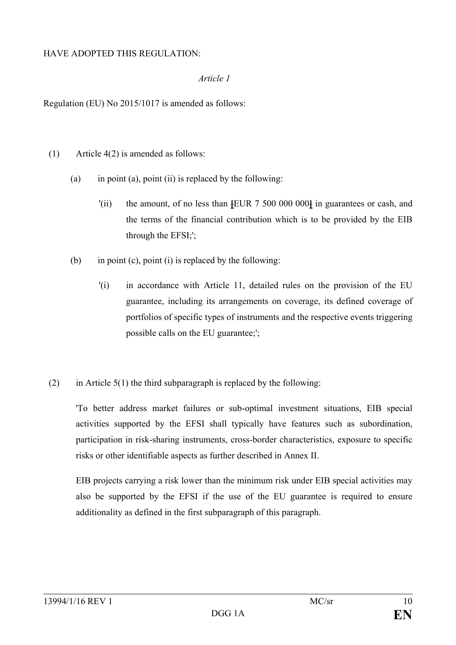### HAVE ADOPTED THIS REGULATION:

### *Article 1*

Regulation (EU) No 2015/1017 is amended as follows:

- (1) Article 4(2) is amended as follows:
	- (a) in point (a), point (ii) is replaced by the following:
		- '(ii) the amount, of no less than **[**EUR 7 500 000 000**]** in guarantees or cash, and the terms of the financial contribution which is to be provided by the EIB through the EFSI;';
	- (b) in point (c), point (i) is replaced by the following:
		- '(i) in accordance with Article 11, detailed rules on the provision of the EU guarantee, including its arrangements on coverage, its defined coverage of portfolios of specific types of instruments and the respective events triggering possible calls on the EU guarantee;';
- (2) in Article  $5(1)$  the third subparagraph is replaced by the following:

'To better address market failures or sub-optimal investment situations, EIB special activities supported by the EFSI shall typically have features such as subordination, participation in risk-sharing instruments, cross-border characteristics, exposure to specific risks or other identifiable aspects as further described in Annex II.

EIB projects carrying a risk lower than the minimum risk under EIB special activities may also be supported by the EFSI if the use of the EU guarantee is required to ensure additionality as defined in the first subparagraph of this paragraph.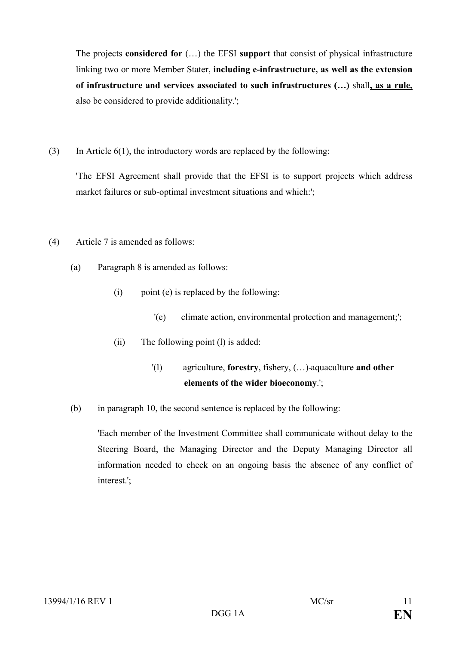The projects **considered for** (…) the EFSI **support** that consist of physical infrastructure linking two or more Member Stater, **including e-infrastructure, as well as the extension of infrastructure and services associated to such infrastructures (…)** shall**, as a rule,** also be considered to provide additionality.';

(3) In Article  $6(1)$ , the introductory words are replaced by the following:

'The EFSI Agreement shall provide that the EFSI is to support projects which address market failures or sub-optimal investment situations and which:';

- (4) Article 7 is amended as follows:
	- (a) Paragraph 8 is amended as follows:
		- (i) point (e) is replaced by the following:
			- '(e) climate action, environmental protection and management;';
		- (ii) The following point (l) is added:
			- '(l) agriculture, **forestry**, fishery, (…) aquaculture **and other elements of the wider bioeconomy**.';
	- (b) in paragraph 10, the second sentence is replaced by the following:

'Each member of the Investment Committee shall communicate without delay to the Steering Board, the Managing Director and the Deputy Managing Director all information needed to check on an ongoing basis the absence of any conflict of interest.';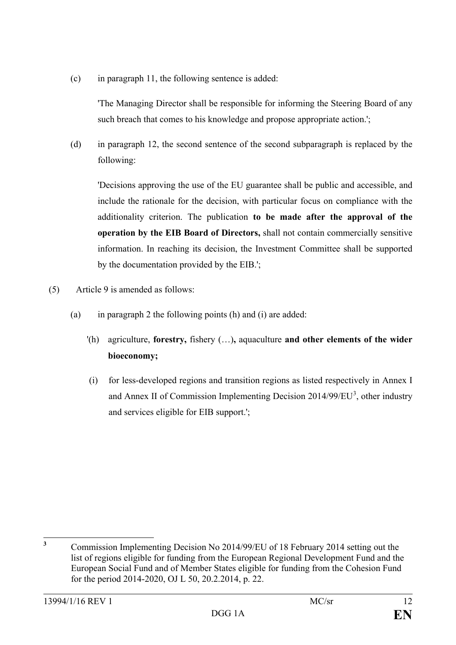(c) in paragraph 11, the following sentence is added:

'The Managing Director shall be responsible for informing the Steering Board of any such breach that comes to his knowledge and propose appropriate action.';

(d) in paragraph 12, the second sentence of the second subparagraph is replaced by the following:

'Decisions approving the use of the EU guarantee shall be public and accessible, and include the rationale for the decision, with particular focus on compliance with the additionality criterion. The publication **to be made after the approval of the operation by the EIB Board of Directors,** shall not contain commercially sensitive information. In reaching its decision, the Investment Committee shall be supported by the documentation provided by the EIB.';

- (5) Article 9 is amended as follows:
	- (a) in paragraph 2 the following points  $(h)$  and  $(i)$  are added:
		- '(h) agriculture, **forestry,** fishery (…)**,** aquaculture **and other elements of the wider bioeconomy;**
		- (i) for less-developed regions and transition regions as listed respectively in Annex I and Annex II of Commission Implementing Decision  $2014/99/EU<sup>3</sup>$  $2014/99/EU<sup>3</sup>$  $2014/99/EU<sup>3</sup>$ , other industry and services eligible for EIB support.';

<span id="page-11-0"></span>**<sup>3</sup>** Commission Implementing Decision No 2014/99/EU of 18 February 2014 setting out the list of regions eligible for funding from the European Regional Development Fund and the European Social Fund and of Member States eligible for funding from the Cohesion Fund for the period 2014-2020, OJ L 50, 20.2.2014, p. 22.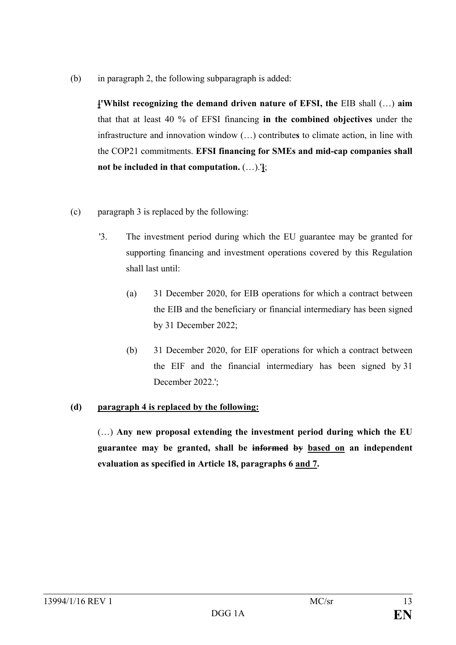(b) in paragraph 2, the following subparagraph is added:

**['Whilst recognizing the demand driven nature of EFSI, the** EIB shall (…) **aim** that that at least 40 % of EFSI financing **in the combined objectives** under the infrastructure and innovation window (…) contribute**s** to climate action, in line with the COP21 commitments. **EFSI financing for SMEs and mid-cap companies shall not be included in that computation.** (…).'**]**;

- (c) paragraph 3 is replaced by the following:
	- '3. The investment period during which the EU guarantee may be granted for supporting financing and investment operations covered by this Regulation shall last until:
		- (a) 31 December 2020, for EIB operations for which a contract between the EIB and the beneficiary or financial intermediary has been signed by 31 December 2022;
		- (b) 31 December 2020, for EIF operations for which a contract between the EIF and the financial intermediary has been signed by 31 December 2022.':

# **(d) paragraph 4 is replaced by the following:**

(…) **Any new proposal extending the investment period during which the EU guarantee may be granted, shall be informed by based on an independent evaluation as specified in Article 18, paragraphs 6 and 7.**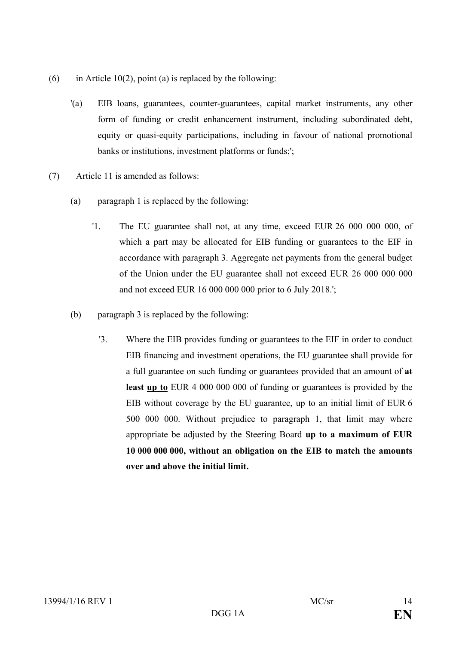- (6) in Article 10(2), point (a) is replaced by the following:
	- '(a) EIB loans, guarantees, counter-guarantees, capital market instruments, any other form of funding or credit enhancement instrument, including subordinated debt, equity or quasi-equity participations, including in favour of national promotional banks or institutions, investment platforms or funds;';
- (7) Article 11 is amended as follows:
	- (a) paragraph 1 is replaced by the following:
		- '1. The EU guarantee shall not, at any time, exceed EUR 26 000 000 000, of which a part may be allocated for EIB funding or guarantees to the EIF in accordance with paragraph 3. Aggregate net payments from the general budget of the Union under the EU guarantee shall not exceed EUR 26 000 000 000 and not exceed EUR 16 000 000 000 prior to 6 July 2018.';
	- (b) paragraph 3 is replaced by the following:
		- '3. Where the EIB provides funding or guarantees to the EIF in order to conduct EIB financing and investment operations, the EU guarantee shall provide for a full guarantee on such funding or guarantees provided that an amount of **at least up to** EUR 4 000 000 000 of funding or guarantees is provided by the EIB without coverage by the EU guarantee, up to an initial limit of EUR 6 500 000 000. Without prejudice to paragraph 1, that limit may where appropriate be adjusted by the Steering Board **up to a maximum of EUR 10 000 000 000, without an obligation on the EIB to match the amounts over and above the initial limit.**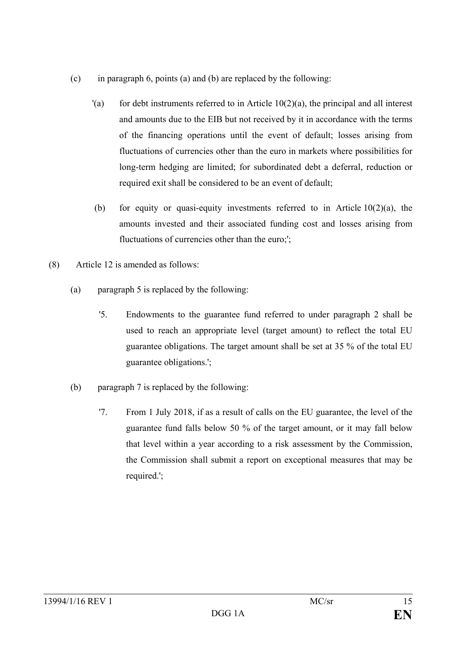- (c) in paragraph 6, points (a) and (b) are replaced by the following:
	- $(a)$  for debt instruments referred to in Article 10(2)(a), the principal and all interest and amounts due to the EIB but not received by it in accordance with the terms of the financing operations until the event of default; losses arising from fluctuations of currencies other than the euro in markets where possibilities for long-term hedging are limited; for subordinated debt a deferral, reduction or required exit shall be considered to be an event of default;
	- (b) for equity or quasi-equity investments referred to in Article  $10(2)(a)$ , the amounts invested and their associated funding cost and losses arising from fluctuations of currencies other than the euro;';
- (8) Article 12 is amended as follows:
	- (a) paragraph 5 is replaced by the following:
		- '5. Endowments to the guarantee fund referred to under paragraph 2 shall be used to reach an appropriate level (target amount) to reflect the total EU guarantee obligations. The target amount shall be set at 35 % of the total EU guarantee obligations.';
	- (b) paragraph 7 is replaced by the following:
		- '7. From 1 July 2018, if as a result of calls on the EU guarantee, the level of the guarantee fund falls below 50 % of the target amount, or it may fall below that level within a year according to a risk assessment by the Commission, the Commission shall submit a report on exceptional measures that may be required.';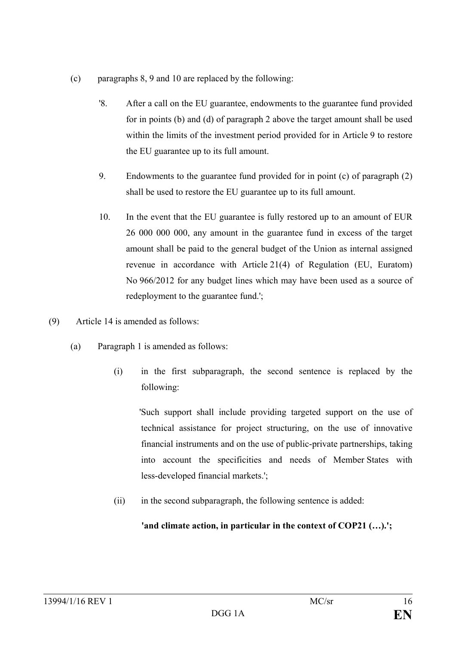- (c) paragraphs 8, 9 and 10 are replaced by the following:
	- '8. After a call on the EU guarantee, endowments to the guarantee fund provided for in points (b) and (d) of paragraph 2 above the target amount shall be used within the limits of the investment period provided for in Article 9 to restore the EU guarantee up to its full amount.
	- 9. Endowments to the guarantee fund provided for in point (c) of paragraph (2) shall be used to restore the EU guarantee up to its full amount.
	- 10. In the event that the EU guarantee is fully restored up to an amount of EUR 26 000 000 000, any amount in the guarantee fund in excess of the target amount shall be paid to the general budget of the Union as internal assigned revenue in accordance with Article 21(4) of Regulation (EU, Euratom) No 966/2012 for any budget lines which may have been used as a source of redeployment to the guarantee fund.';
- (9) Article 14 is amended as follows:
	- (a) Paragraph 1 is amended as follows:
		- (i) in the first subparagraph, the second sentence is replaced by the following:

 'Such support shall include providing targeted support on the use of technical assistance for project structuring, on the use of innovative financial instruments and on the use of public-private partnerships, taking into account the specificities and needs of Member States with less-developed financial markets.';

(ii) in the second subparagraph, the following sentence is added:

'and climate action, in particular in the context of COP21 (...).';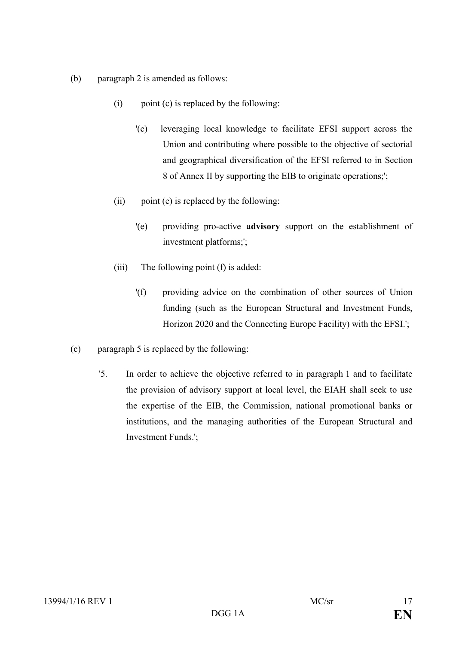- (b) paragraph 2 is amended as follows:
	- $(i)$  point  $(c)$  is replaced by the following:
		- '(c) leveraging local knowledge to facilitate EFSI support across the Union and contributing where possible to the objective of sectorial and geographical diversification of the EFSI referred to in Section 8 of Annex II by supporting the EIB to originate operations;';
	- (ii) point (e) is replaced by the following:
		- '(e) providing pro-active **advisory** support on the establishment of investment platforms;';
	- (iii) The following point (f) is added:
		- '(f) providing advice on the combination of other sources of Union funding (such as the European Structural and Investment Funds, Horizon 2020 and the Connecting Europe Facility) with the EFSI.';
- (c) paragraph 5 is replaced by the following:
	- '5. In order to achieve the objective referred to in paragraph 1 and to facilitate the provision of advisory support at local level, the EIAH shall seek to use the expertise of the EIB, the Commission, national promotional banks or institutions, and the managing authorities of the European Structural and Investment Funds.';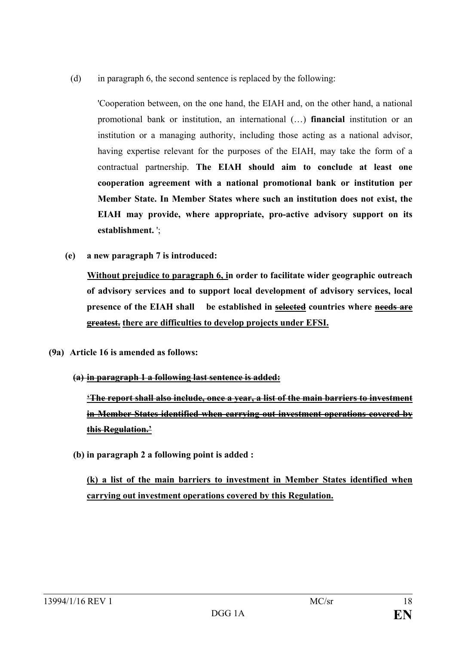(d) in paragraph 6, the second sentence is replaced by the following:

'Cooperation between, on the one hand, the EIAH and, on the other hand, a national promotional bank or institution, an international (…) **financial** institution or an institution or a managing authority, including those acting as a national advisor, having expertise relevant for the purposes of the EIAH, may take the form of a contractual partnership. **The EIAH should aim to conclude at least one cooperation agreement with a national promotional bank or institution per Member State. In Member States where such an institution does not exist, the EIAH may provide, where appropriate, pro-active advisory support on its establishment.** ';

**(e) a new paragraph 7 is introduced:**

**Without prejudice to paragraph 6, in order to facilitate wider geographic outreach of advisory services and to support local development of advisory services, local presence of the EIAH shall be established in selected countries where needs are greatest. there are difficulties to develop projects under EFSI.**

- **(9a) Article 16 is amended as follows:**
	- **(a) in paragraph 1 a following last sentence is added:**

**'The report shall also include, once a year, a list of the main barriers to investment in Member States identified when carrying out investment operations covered by this Regulation.'**

**(b) in paragraph 2 a following point is added :**

**(k) a list of the main barriers to investment in Member States identified when carrying out investment operations covered by this Regulation.**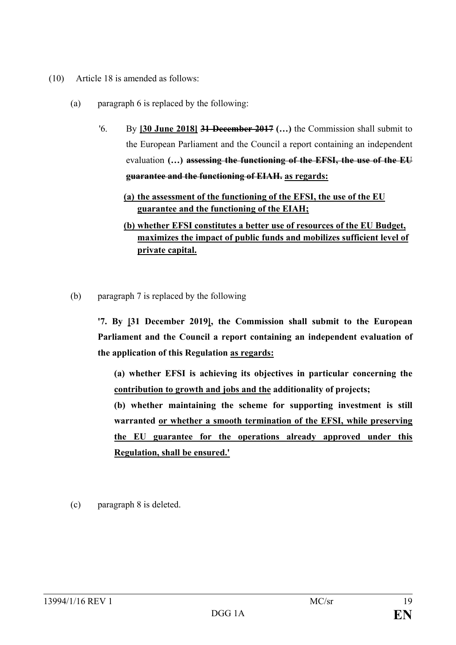- (10) Article 18 is amended as follows:
	- (a) paragraph 6 is replaced by the following:
		- '6. By **[30 June 2018] 31 December 2017 (…)** the Commission shall submit to the European Parliament and the Council a report containing an independent evaluation **(…) assessing the functioning of the EFSI, the use of the EU guarantee and the functioning of EIAH. as regards:**
			- **(a) the assessment of the functioning of the EFSI, the use of the EU guarantee and the functioning of the EIAH;**
			- **(b) whether EFSI constitutes a better use of resources of the EU Budget, maximizes the impact of public funds and mobilizes sufficient level of private capital.**
	- (b) paragraph 7 is replaced by the following

**'7. By [31 December 2019], the Commission shall submit to the European Parliament and the Council a report containing an independent evaluation of the application of this Regulation as regards:**

**(a) whether EFSI is achieving its objectives in particular concerning the contribution to growth and jobs and the additionality of projects;**

**(b) whether maintaining the scheme for supporting investment is still warranted or whether a smooth termination of the EFSI, while preserving the EU guarantee for the operations already approved under this Regulation, shall be ensured.'**

(c) paragraph 8 is deleted.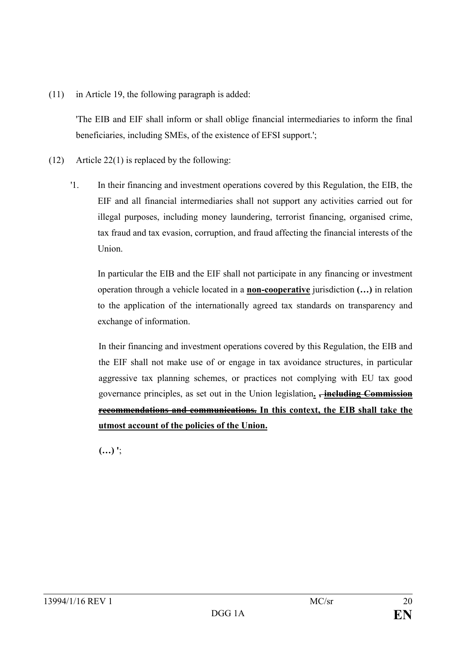(11) in Article 19, the following paragraph is added:

'The EIB and EIF shall inform or shall oblige financial intermediaries to inform the final beneficiaries, including SMEs, of the existence of EFSI support.';

- (12) Article 22(1) is replaced by the following:
	- '1. In their financing and investment operations covered by this Regulation, the EIB, the EIF and all financial intermediaries shall not support any activities carried out for illegal purposes, including money laundering, terrorist financing, organised crime, tax fraud and tax evasion, corruption, and fraud affecting the financial interests of the Union.

In particular the EIB and the EIF shall not participate in any financing or investment operation through a vehicle located in a **non-cooperative** jurisdiction **(…)** in relation to the application of the internationally agreed tax standards on transparency and exchange of information.

In their financing and investment operations covered by this Regulation, the EIB and the EIF shall not make use of or engage in tax avoidance structures, in particular aggressive tax planning schemes, or practices not complying with EU tax good governance principles, as set out in the Union legislation**. , including Commission recommendations and communications. In this context, the EIB shall take the utmost account of the policies of the Union.**

**(…) '**;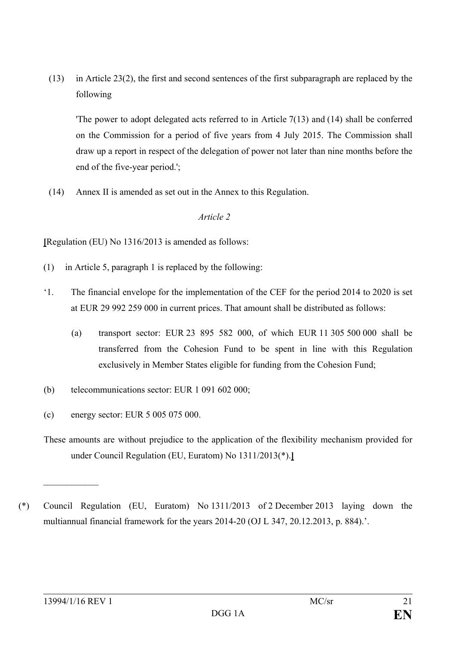(13) in Article 23(2), the first and second sentences of the first subparagraph are replaced by the following

'The power to adopt delegated acts referred to in Article 7(13) and (14) shall be conferred on the Commission for a period of five years from 4 July 2015. The Commission shall draw up a report in respect of the delegation of power not later than nine months before the end of the five-year period.';

(14) Annex II is amended as set out in the Annex to this Regulation.

## *Article 2*

**[**Regulation (EU) No 1316/2013 is amended as follows:

- (1) in Article 5, paragraph 1 is replaced by the following:
- '1. The financial envelope for the implementation of the CEF for the period 2014 to 2020 is set at EUR 29 992 259 000 in current prices. That amount shall be distributed as follows:
	- (a) transport sector: EUR 23 895 582 000, of which EUR 11 305 500 000 shall be transferred from the Cohesion Fund to be spent in line with this Regulation exclusively in Member States eligible for funding from the Cohesion Fund;
- (b) telecommunications sector: EUR 1 091 602 000;
- (c) energy sector: EUR 5 005 075 000.
- These amounts are without prejudice to the application of the flexibility mechanism provided for under Council Regulation (EU, Euratom) No 1311/2013(\*).**]**
- (\*) Council Regulation (EU, Euratom) No 1311/2013 of 2 December 2013 laying down the multiannual financial framework for the years 2014-20 (OJ L 347, 20.12.2013, p. 884).'.

 $\mathcal{L}$  , we have the set of  $\mathcal{L}$